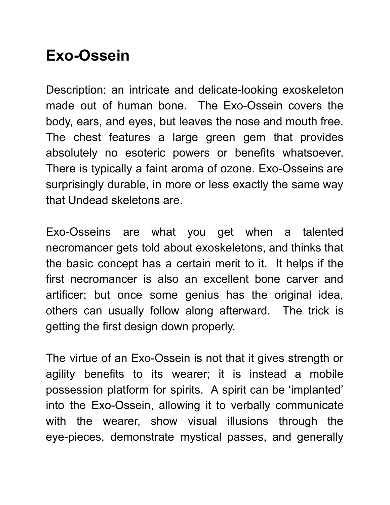## **Exo-Ossein**

Description: an intricate and delicate-looking exoskeleton made out of human bone. The Exo-Ossein covers the body, ears, and eyes, but leaves the nose and mouth free. The chest features a large green gem that provides absolutely no esoteric powers or benefits whatsoever. There is typically a faint aroma of ozone. Exo-Osseins are surprisingly durable, in more or less exactly the same way that Undead skeletons are.

Exo-Osseins are what you get when a talented necromancer gets told about exoskeletons, and thinks that the basic concept has a certain merit to it. It helps if the first necromancer is also an excellent bone carver and artificer; but once some genius has the original idea, others can usually follow along afterward. The trick is getting the first design down properly.

The virtue of an Exo-Ossein is not that it gives strength or agility benefits to its wearer; it is instead a mobile possession platform for spirits. A spirit can be 'implanted' into the Exo-Ossein, allowing it to verbally communicate with the wearer, show visual illusions through the eye-pieces, demonstrate mystical passes, and generally